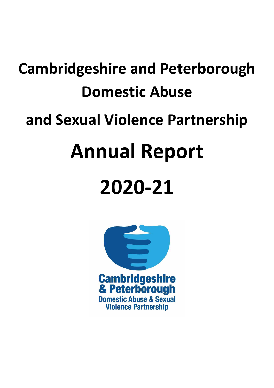# **Cambridgeshire and Peterborough Domestic Abuse**

# **and Sexual Violence Partnership**

# **Annual Report**

# **2020-21**

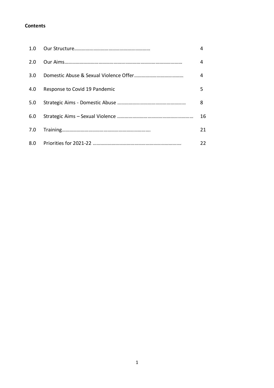# **Contents**

| 1.0 |                               | 4  |
|-----|-------------------------------|----|
| 2.0 |                               | 4  |
| 3.0 |                               | 4  |
| 4.0 | Response to Covid 19 Pandemic | 5  |
| 5.0 |                               | 8  |
| 6.0 |                               | 16 |
| 7.0 |                               | 21 |
|     |                               | 22 |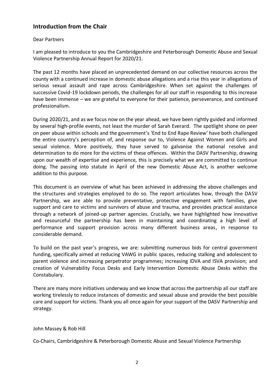# **Introduction from the Chair**

## Dear Partners

I am pleased to introduce to you the Cambridgeshire and Peterborough Domestic Abuse and Sexual Violence Partnership Annual Report for 2020/21.

The past 12 months have placed an unprecedented demand on our collective resources across the county with a continued increase in domestic abuse allegations and a rise this year in allegations of serious sexual assault and rape across Cambridgeshire. When set against the challenges of successive Covid-19 lockdown periods, the challenges for all our staff in responding to this increase have been immense – we are grateful to everyone for their patience, perseverance, and continued professionalism.

During 2020/21, and as we focus now on the year ahead, we have been rightly guided and informed by several high-profile events, not least the murder of Sarah Everard. The spotlight shone on peer on peer abuse within schools and the government's 'End to End Rape Review' have both challenged the entire country's perception of, and response our to, Violence Against Women and Girls and sexual violence. More positively, they have served to galvanise the national resolve and determination to do more for the victims of these offences. Within the DASV Partnership, drawing upon our wealth of expertise and experience, this is precisely what we are committed to continue doing. The passing into statute in April of the new Domestic Abuse Act, is another welcome addition to this purpose.

This document is an overview of what has been achieved in addressing the above challenges and the structures and strategies employed to do so. The report articulates how, through the DASV Partnership, we are able to provide preventative, protective engagement with families, give support and care to victims and survivors of abuse and trauma, and provides practical assistance through a network of joined-up partner agencies. Crucially, we have highlighted how innovative and resourceful the partnership has been in maintaining and coordinating a high level of performance and support provision across many different business areas, in response to considerable demand.

To build on the past year's progress, we are: submitting numerous bids for central government funding, specifically aimed at reducing VAWG in public spaces, reducing stalking and adolescent to parent violence and increasing perpetrator programmes; increasing IDVA and ISVA provision; and creation of Vulnerability Focus Desks and Early Intervention Domestic Abuse Desks within the Constabulary.

There are many more initiatives underway and we know that across the partnership all our staff are working tirelessly to reduce instances of domestic and sexual abuse and provide the best possible care and support for victims. Thank you all once again for your support of the DASV Partnership and strategy.

# John Massey & Rob Hill

Co-Chairs, Cambridgeshire & Peterborough Domestic Abuse and Sexual Violence Partnership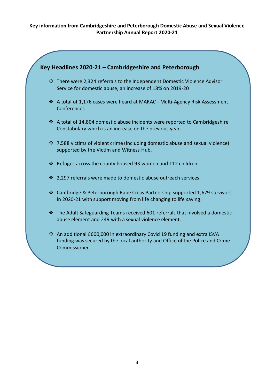# **Key information from Cambridgeshire and Peterborough Domestic Abuse and Sexual Violence Partnership Annual Report 2020-21**

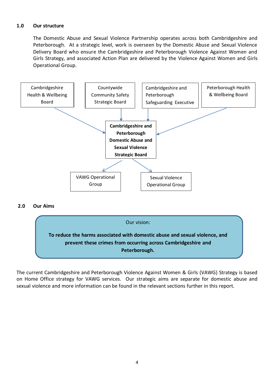# **1.0 Our structure**

The Domestic Abuse and Sexual Violence Partnership operates across both Cambridgeshire and Peterborough. At a strategic level, work is overseen by the Domestic Abuse and Sexual Violence Delivery Board who ensure the Cambridgeshire and Peterborough Violence Against Women and Girls Strategy, and associated Action Plan are delivered by the Violence Against Women and Girls Operational Group.



#### **2.0 Our Aims**



The current Cambridgeshire and Peterborough Violence Against Women & Girls (VAWG) Strategy is based on Home Office strategy for VAWG services. Our strategic aims are separate for domestic abuse and sexual violence and more information can be found in the relevant sections further in this report.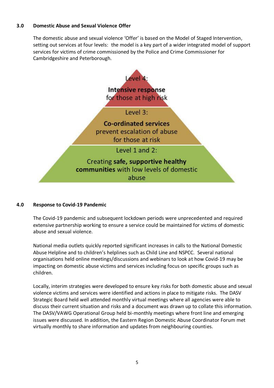# **3.0 Domestic Abuse and Sexual Violence Offer**

The domestic abuse and sexual violence 'Offer' is based on the Model of Staged Intervention, setting out services at four levels: the model is a key part of a wider integrated model of support services for victims of crime commissioned by the Police and Crime Commissioner for Cambridgeshire and Peterborough.



#### **4.0 Response to Covid-19 Pandemic**

The Covid-19 pandemic and subsequent lockdown periods were unprecedented and required extensive partnership working to ensure a service could be maintained for victims of domestic abuse and sexual violence.

National media outlets quickly reported significant increases in calls to the National Domestic Abuse Helpline and to children's helplines such as Child Line and NSPCC. Several national organisations held online meetings/discussions and webinars to look at how Covid-19 may be impacting on domestic abuse victims and services including focus on specific groups such as children.

Locally, interim strategies were developed to ensure key risks for both domestic abuse and sexual violence victims and services were identified and actions in place to mitigate risks. The DASV Strategic Board held well attended monthly virtual meetings where all agencies were able to discuss their current situation and risks and a document was drawn up to collate this information. The DASV/VAWG Operational Group held bi-monthly meetings where front line and emerging issues were discussed. In addition, the Eastern Region Domestic Abuse Coordinator Forum met virtually monthly to share information and updates from neighbouring counties.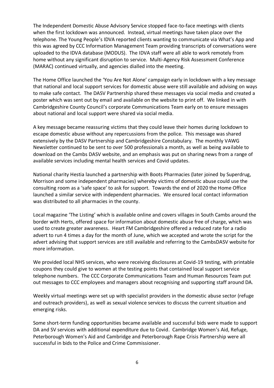The Independent Domestic Abuse Advisory Service stopped face-to-face meetings with clients when the first lockdown was announced. Instead, virtual meetings have taken place over the telephone. The Young People's IDVA reported clients wanting to communicate via What's App and this was agreed by CCC Information Management Team providing transcripts of conversations were uploaded to the IDVA database (MODUS). The IDVA staff were all able to work remotely from home without any significant disruption to service. Multi-Agency Risk Assessment Conference (MARAC) continued virtually, and agencies dialled into the meeting.

The Home Office launched the 'You Are Not Alone' campaign early in lockdown with a key message that national and local support services for domestic abuse were still available and advising on ways to make safe contact. The DASV Partnership shared these messages via social media and created a poster which was sent out by email and available on the website to print off. We linked in with Cambridgeshire County Council's corporate Communications Team early on to ensure messages about national and local support were shared via social media.

A key message became reassuring victims that they could leave their homes during lockdown to escape domestic abuse without any repercussions from the police. This message was shared extensively by the DASV Partnership and Cambridgeshire Constabulary. The monthly VAWG Newsletter continued to be sent to over 500 professionals a month, as well as being available to download on the Cambs DASV website, and an emphasis was put on sharing news from a range of available services including mental health services and Covid updates.

National charity Hestia launched a partnership with Boots Pharmacies (later joined by Superdrug, Morrison and some independent pharmacies) whereby victims of domestic abuse could use the consulting room as a 'safe space' to ask for support. Towards the end of 2020 the Home Office launched a similar service with independent pharmacies. We ensured local contact information was distributed to all pharmacies in the county.

Local magazine 'The Listing' which is available online and covers villages in South Cambs around the border with Herts, offered space for information about domestic abuse free of charge, which was used to create greater awareness. Heart FM Cambridgeshire offered a reduced rate for a radio advert to run 4 times a day for the month of June, which we accepted and wrote the script for the advert advising that support services are still available and referring to the CambsDASV website for more information.

We provided local NHS services, who were receiving disclosures at Covid-19 testing, with printable coupons they could give to women at the testing points that contained local support service telephone numbers. The CCC Corporate Communications Team and Human Resources Team put out messages to CCC employees and managers about recognising and supporting staff around DA.

Weekly virtual meetings were set up with specialist providers in the domestic abuse sector (refuge and outreach providers), as well as sexual violence services to discuss the current situation and emerging risks.

Some short-term funding opportunities became available and successful bids were made to support DA and SV services with additional expenditure due to Covid. Cambridge Women's Aid, Refuge, Peterborough Women's Aid and Cambridge and Peterborough Rape Crisis Partnership were all successful in bids to the Police and Crime Commissioner.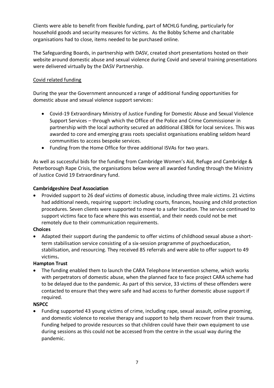Clients were able to benefit from flexible funding, part of MCHLG funding, particularly for household goods and security measures for victims. As the Bobby Scheme and charitable organisations had to close, items needed to be purchased online.

The Safeguarding Boards, in partnership with DASV, created short presentations hosted on their website around domestic abuse and sexual violence during Covid and several training presentations were delivered virtually by the DASV Partnership.

# Covid related funding

During the year the Government announced a range of additional funding opportunities for domestic abuse and sexual violence support services:

- Covid-19 Extraordinary Ministry of Justice Funding for Domestic Abuse and Sexual Violence Support Services – through which the Office of the Police and Crime Commissioner in partnership with the local authority secured an additional £380k for local services. This was awarded to core and emerging grass roots specialist organisations enabling seldom heard communities to access bespoke services.
- Funding from the Home Office for three additional ISVAs for two years.

As well as successful bids for the funding from Cambridge Women's Aid, Refuge and Cambridge & Peterborough Rape Crisis, the organisations below were all awarded funding through the Ministry of Justice Covid 19 Extraordinary fund.

# **Cambridgeshire Deaf Association**

 Provided support to 26 deaf victims of domestic abuse, including three male victims. 21 victims had additional needs, requiring support: including courts, finances, housing and child protection procedures. Seven clients were supported to move to a safer location. The service continued to support victims face to face where this was essential, and their needs could not be met remotely due to their communication requirements.

#### **Choices**

 Adapted their support during the pandemic to offer victims of childhood sexual abuse a shortterm stabilisation service consisting of a six-session programme of psychoeducation, stabilisation, and resourcing. They received 85 referrals and were able to offer support to 49 victims**.** 

#### **Hampton Trust**

 The funding enabled them to launch the CARA Telephone Intervention scheme, which works with perpetrators of domestic abuse, when the planned face to face project CARA scheme had to be delayed due to the pandemic. As part of this service, 33 victims of these offenders were contacted to ensure that they were safe and had access to further domestic abuse support if required.

# **NSPCC**

 Funding supported 43 young victims of crime, including rape, sexual assault, online grooming, and domestic violence to receive therapy and support to help them recover from their trauma. Funding helped to provide resources so that children could have their own equipment to use during sessions as this could not be accessed from the centre in the usual way during the pandemic.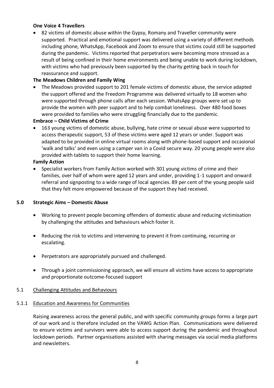## **One Voice 4 Travellers**

 82 victims of domestic abuse within the Gypsy, Romany and Traveller community were supported. Practical and emotional support was delivered using a variety of different methods including phone, WhatsApp, Facebook and Zoom to ensure that victims could still be supported during the pandemic. Victims reported that perpetrators were becoming more stressed as a result of being confined in their home environments and being unable to work during lockdown, with victims who had previously been supported by the charity getting back in touch for reassurance and support.

# **The Meadows Children and Family Wing**

 The Meadows provided support to 201 female victims of domestic abuse, the service adapted the support offered and the Freedom Programme was delivered virtually to 18 women who were supported through phone calls after each session. WhatsApp groups were set up to provide the women with peer support and to help combat loneliness. Over 480 food boxes were provided to families who were struggling financially due to the pandemic.

## **Embrace – Child Victims of Crime**

 163 young victims of domestic abuse, bullying, hate crime or sexual abuse were supported to access therapeutic support, 53 of these victims were aged 12 years or under. Support was adapted to be provided in online virtual rooms along with phone-based support and occasional 'walk and talks' and even using a camper van in a Covid secure way. 20 young people were also provided with tablets to support their home learning.

#### **Family Action**

 Specialist workers from Family Action worked with 301 young victims of crime and their families, over half of whom were aged 12 years and under, providing 1-1 support and onward referral and signposting to a wide range of local agencies. 89 per cent of the young people said that they felt more empowered because of the support they had received.

#### **5.0 Strategic Aims – Domestic Abuse**

- Working to prevent people becoming offenders of domestic abuse and reducing victimisation by challenging the attitudes and behaviours which foster it.
- Reducing the risk to victims and intervening to prevent it from continuing, recurring or escalating.
- Perpetrators are appropriately pursued and challenged.
- Through a joint commissioning approach, we will ensure all victims have access to appropriate and proportionate outcome-focused support

#### 5.1 Challenging Attitudes and Behaviours

#### 5.1.1 Education and Awareness for Communities

Raising awareness across the general public, and with specific community groups forms a large part of our work and is therefore included on the VAWG Action Plan. Communications were delivered to ensure victims and survivors were able to access support during the pandemic and throughout lockdown periods. Partner organisations assisted with sharing messages via social media platforms and newsletters.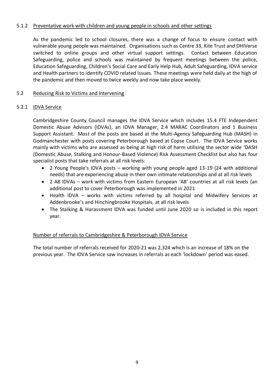# 5.1.2 Preventative work with children and young people in schools and other settings

As the pandemic led to school closures, there was a change of focus to ensure contact with vulnerable young people was maintained. Organisations such as Centre 33, Kite Trust and DHIVerse switched to online groups and other virtual support settings. Contact between Education Safeguarding, police and schools was maintained by frequent meetings between the police, Education Safeguarding, Children's Social Care and Early Help Hub, Adult Safeguarding, IDVA service and Health partners to identify COVID related issues. These meetings were held daily at the high of the pandemic and then moved to twice weekly and now take place weekly.

## 5.2 Reducing Risk to Victims and Intervening

## 5.2.1 IDVA Service

 Cambridgeshire County Council manages the IDVA Service which includes 15.4 FTE Independent Domestic Abuse Advisors (IDVAs), an IDVA Manager, 2.4 MARAC Coordinators and 1 Business Support Assistant. Most of the posts are based at the Multi-Agency Safeguarding Hub (MASH) in Godmanchester with posts covering Peterborough based at Copse Court. The IDVA Service works mainly with victims who are assessed as being at high risk of harm utilising the sector wide 'DASH (Domestic Abuse, Stalking and Honour-Based Violence) Risk Assessment Checklist but also has four specialist posts that take referrals at all risk levels:

- 2 Young People's IDVA posts working with young people aged 13-19 (24 with additional needs) that are experiencing abuse in their own intimate relationships and at all risk levels
- 2 A8 IDVAs work with victims from Eastern European 'A8' countries at all risk levels (an additional post to cover Peterborough was implemented in 2021
- Health IDVA works with victims referred by all hospital and Midwifery Services at Addenbrooke's and Hinchingbrooke Hospitals, at all risk levels
- The Stalking & Harassment IDVA was funded until June 2020 so is included in this report year.

#### Number of referrals to Cambridgeshire & Peterborough IDVA Service

The total number of referrals received for 2020-21 was 2,324 which is an increase of 18% on the previous year. The IDVA Service saw increases in referrals as each 'lockdown' period was eased.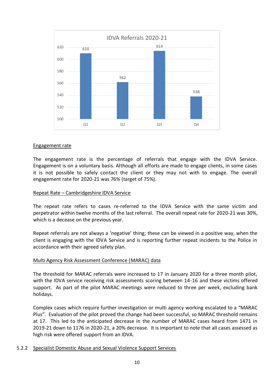

#### Engagement rate

The engagement rate is the percentage of referrals that engage with the IDVA Service. Engagement is on a voluntary basis. Although all efforts are made to engage clients, in some cases it is not possible to safely contact the client or they may not with to engage. The overall engagement rate for 2020-21 was 76% (target of 75%).

#### Repeat Rate – Cambridgeshire IDVA Service

The repeat rate refers to cases re-referred to the IDVA Service with the same victim and perpetrator within twelve months of the last referral. The overall repeat rate for 2020-21 was 30%, which is a decease on the previous year.

Repeat referrals are not always a 'negative' thing; these can be viewed in a positive way, when the client is engaging with the IDVA Service and is reporting further repeat incidents to the Police in accordance with their agreed safety plan.

#### Multi Agency Risk Assessment Conference (MARAC) data

The threshold for MARAC referrals were increased to 17 in January 2020 for a three month pilot, with the IDVA service receiving risk assessments scoring between 14-16 and these victims offered support. As part of the pilot MARAC meetings were reduced to three per week, excluding bank holidays.

Complex cases which require further investigation or multi agency working escalated to a "MARAC Plus". Evaluation of the pilot proved the change had been successful, so MARAC threshold remains at 17. This led to the anticipated decrease in the number of MARAC cases heard from 1471 in 2019-21 down to 1176 in 2020-21, a 20% decrease. It is important to note that all cases assessed as high risk were offered support from an IDVA.

#### 5.2.2 Specialist Domestic Abuse and Sexual Violence Support Services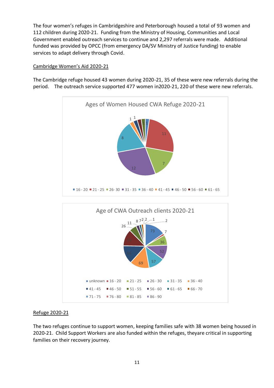The four women's refuges in Cambridgeshire and Peterborough housed a total of 93 women and 112 children during 2020-21. Funding from the Ministry of Housing, Communities and Local Government enabled outreach services to continue and 2,297 referrals were made. Additional funded was provided by OPCC (from emergency DA/SV Ministry of Justice funding) to enable services to adapt delivery through Covid.

# Cambridge Women's Aid 2020-21

The Cambridge refuge housed 43 women during 2020-21, 35 of these were new referrals during the period. The outreach service supported 477 women in2020-21, 220 of these were new referrals.



#### Refuge 2020-21

The two refuges continue to support women, keeping families safe with 38 women being housed in 2020-21. Child Support Workers are also funded within the refuges, theyare critical in supporting families on their recovery journey.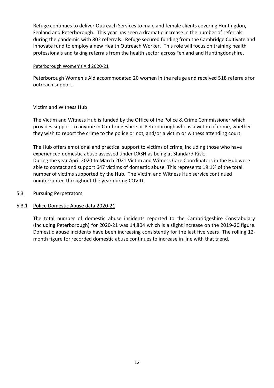Refuge continues to deliver Outreach Services to male and female clients covering Huntingdon, Fenland and Peterborough. This year has seen a dramatic increase in the number of referrals during the pandemic with 802 referrals. Refuge secured funding from the Cambridge Cultivate and Innovate fund to employ a new Health Outreach Worker. This role will focus on training health professionals and taking referrals from the health sector across Fenland and Huntingdonshire.

#### Peterborough Women's Aid 2020-21

Peterborough Women's Aid accommodated 20 women in the refuge and received 518 referrals for outreach support.

#### Victim and Witness Hub

The Victim and Witness Hub is funded by the Office of the Police & Crime Commissioner which provides support to anyone in Cambridgeshire or Peterborough who is a victim of crime, whether they wish to report the crime to the police or not, and/or a victim or witness attending court.

The Hub offers emotional and practical support to victims of crime, including those who have experienced domestic abuse assessed under DASH as being at Standard Risk. During the year April 2020 to March 2021 Victim and Witness Care Coordinators in the Hub were able to contact and support 647 victims of domestic abuse. This represents 19.1% of the total number of victims supported by the Hub. The Victim and Witness Hub service continued uninterrupted throughout the year during COVID.

#### 5.3 Pursuing Perpetrators

#### 5.3.1 Police Domestic Abuse data 2020-21

The total number of domestic abuse incidents reported to the Cambridgeshire Constabulary (including Peterborough) for 2020-21 was 14,804 which is a slight increase on the 2019-20 figure. Domestic abuse incidents have been increasing consistently for the last five years. The rolling 12 month figure for recorded domestic abuse continues to increase in line with that trend.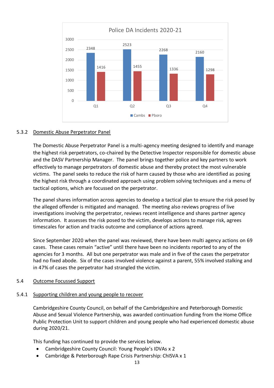

# 5.3.2 Domestic Abuse Perpetrator Panel

The Domestic Abuse Perpetrator Panel is a multi-agency meeting designed to identify and manage the highest risk perpetrators, co-chaired by the Detective Inspector responsible for domestic abuse and the DASV Partnership Manager. The panel brings together police and key partners to work effectively to manage perpetrators of domestic abuse and thereby protect the most vulnerable victims. The panel seeks to reduce the risk of harm caused by those who are identified as posing the highest risk through a coordinated approach using problem solving techniques and a menu of tactical options, which are focussed on the perpetrator.

The panel shares information across agencies to develop a tactical plan to ensure the risk posed by the alleged offender is mitigated and managed. The meeting also reviews progress of live investigations involving the perpetrator, reviews recent intelligence and shares partner agency information. It assesses the risk posed to the victim, develops actions to manage risk, agrees timescales for action and tracks outcome and compliance of actions agreed.

Since September 2020 when the panel was reviewed, there have been multi agency actions on 69 cases. These cases remain "active" until there have been no incidents reported to any of the agencies for 3 months. All but one perpetrator was male and in five of the cases the perpetrator had no fixed abode. Six of the cases involved violence against a parent, 55% involved stalking and in 47% of cases the perpetrator had strangled the victim.

#### 5.4 Outcome Focussed Support

#### 5.4.1 Supporting children and young people to recover

Cambridgeshire County Council, on behalf of the Cambridgeshire and Peterborough Domestic Abuse and Sexual Violence Partnership, was awarded continuation funding from the Home Office Public Protection Unit to support children and young people who had experienced domestic abuse during 2020/21.

This funding has continued to provide the services below.

- Cambridgeshire County Council: Young People's IDVAs x 2
- Cambridge & Peterborough Rape Crisis Partnership: ChISVA x 1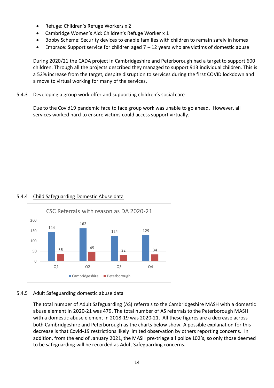- Refuge: Children's Refuge Workers x 2
- Cambridge Women's Aid: Children's Refuge Worker x 1
- Bobby Scheme: Security devices to enable families with children to remain safely in homes
- **•** Embrace: Support service for children aged  $7 12$  years who are victims of domestic abuse

During 2020/21 the CADA project in Cambridgeshire and Peterborough had a target to support 600 children. Through all the projects described they managed to support 913 individual children. This is a 52% increase from the target, despite disruption to services during the first COVID lockdown and a move to virtual working for many of the services.

## 5.4.3 Developing a group work offer and supporting children's social care

Due to the Covid19 pandemic face to face group work was unable to go ahead. However, all services worked hard to ensure victims could access support virtually.

# 5.4.4 Child Safeguarding Domestic Abuse data



# 5.4.5 Adult Safeguarding domestic abuse data

The total number of Adult Safeguarding (AS) referrals to the Cambridgeshire MASH with a domestic abuse element in 2020-21 was 479. The total number of AS referrals to the Peterborough MASH with a domestic abuse element in 2018-19 was 2020-21. All these figures are a decrease across both Cambridgeshire and Peterborough as the charts below show. A possible explanation for this decrease is that Covid-19 restrictions likely limited observation by others reporting concerns. In addition, from the end of January 2021, the MASH pre-triage all police 102's, so only those deemed to be safeguarding will be recorded as Adult Safeguarding concerns.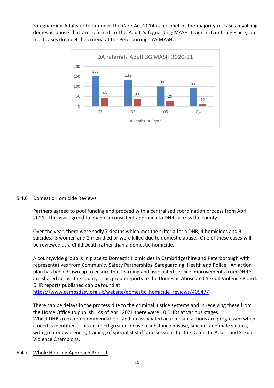Safeguarding Adults criteria under the Care Act 2014 is not met in the majority of cases involving domestic abuse that are referred to the Adult Safeguarding MASH Team in Cambridgeshire, but most cases do meet the criteria at the Peterborough AS MASH.



#### 5.4.6 Domestic Homicide Reviews

Partners agreed to pool funding and proceed with a centralised coordination process from April 2021. This was agreed to enable a consistent approach to DHRs across the county.

Over the year, there were sadly 7 deaths which met the criteria for a DHR, 4 homicides and 3 suicides. 5 women and 2 men died or were killed due to domestic abuse. One of these cases will be reviewed as a Child Death rather than a domestic homicide.

A countywide group is in place to Domestic Homicides in Cambridgeshire and Peterborough with representatives from Community Safety Partnerships, Safeguarding, Health and Police. An action plan has been drawn up to ensure that learning and associated service improvements from DHR's are shared across the county. This group reports to the Domestic Abuse and Sexual Violence Board. DHR reports published can be found at

[https://www.cambsdasv.org.uk/website/domestic\\_homicide\\_reviews/405477.](https://www.cambsdasv.org.uk/website/domestic_homicide_reviews/405477)

There can be delays in the process due to the criminal justice systems and in receiving these from the Home Office to publish. As of April 2021 there were 10 DHRs at various stages. Whilst DHRs require recommendations and an associated action plan, actions are progressed when a need is identified. This included greater focus on substance misuse, suicide, and male victims, with greater awareness, training of specialist staff and sessions for the Domestic Abuse and Sexual Violence Champions.

#### 5.4.7 Whole Housing Approach Project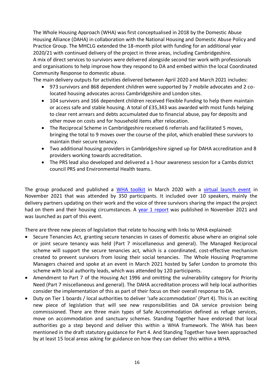The Whole Housing Approach (WHA) was first conceptualised in 2018 by the Domestic Abuse Housing Alliance (DAHA) in collaboration with the National Housing and Domestic Abuse Policy and Practice Group. The MHCLG extended the 18-month pilot with funding for an additional year 2020/21 with continued delivery of the project in three areas, including Cambridgeshire. A mix of direct services to survivors were delivered alongside second tier work with professionals and organisations to help improve how they respond to DA and embed within the local Coordinated Community Response to domestic abuse.

The main delivery outputs for activities delivered between April 2020 and March 2021 includes:

- 973 survivors and 868 dependent children were supported by 7 mobile advocates and 2 colocated housing advocates across Cambridgeshire and London sites.
- 104 survivors and 166 dependent children received Flexible Funding to help them maintain or access safe and stable housing. A total of £35,343 was awarded with most funds helping to clear rent arrears and debts accumulated due to financial abuse, pay for deposits and other move on costs and for household items after relocation.
- The Reciprocal Scheme in Cambridgeshire received 6 referrals and facilitated 5 moves, bringing the total to 9 moves over the course of the pilot, which enabled these survivors to maintain their secure tenancy.
- Two additional housing providers in Cambridgeshire signed up for DAHA accreditation and 8 providers working towards accreditation.
- The PRS lead also developed and delivered a 1-hour awareness session for a Cambs district council PRS and Environmental Health teams.

The group produced and published a [WHA toolkit](https://www.dahalliance.org.uk/what-we-do/whole-housing-approach/whole-housing-toolkit/) in March 2020 with a [virtual launch event](https://www.youtube.com/watch?v=0olh6a4ihz0) in November 2021 that was attended by 350 participants. It included over 10 speakers, mainly the delivery partners updating on their work and the voice of three survivors sharing the impact the project had on them and their housing circumstances. A [year 1 report](https://www.dahalliance.org.uk/media/10888/p1010-st-whole-housing-project-report_final.pdf) was published in November 2021 and was launched as part of this event.

There are three new pieces of legislation that relate to housing with links to WHA explained:

- Secure Tenancies Act, granting secure tenancies in cases of domestic abuse where an original sole or joint secure tenancy was held (Part 7 miscellaneous and general). The Managed Reciprocal scheme will support the secure tenancies act, which is a coordinated, cost-effective mechanism created to prevent survivors from losing their social tenancies. The Whole Housing Programme Managers chaired and spoke at an event in March 2021 hosted by Safer London to promote this scheme with local authority leads, which was attended by 120 participants.
- Amendment to Part 7 of the Housing Act 1996 and omitting the vulnerability category for Priority Need (Part 7 miscellaneous and general). The DAHA accreditation process will help local authorities consider the implementation of this as part of their focus on their overall response to DA.
- Duty on Tier 1 boards / local authorities to deliver 'safe accommodation' (Part 4). This is an exciting new piece of legislation that will see new responsibilities and DA service provision being commissioned. There are three main types of Safe Accommodation defined as refuge services, move on accommodation and sanctuary schemes. Standing Together have endorsed that local authorities go a step beyond and deliver this within a WHA framework. The WHA has been mentioned in the draft statutory guidance for Part 4. And Standing Together have been approached by at least 15 local areas asking for guidance on how they can deliver this within a WHA.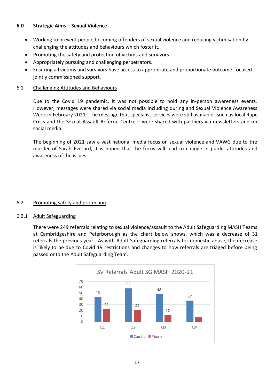# **6.0 Strategic Aims – Sexual Violence**

- Working to prevent people becoming offenders of sexual violence and reducing victimisation by challenging the attitudes and behaviours which foster it.
- Promoting the safety and protection of victims and survivors.
- Appropriately pursuing and challenging perpetrators.
- Ensuring all victims and survivors have access to appropriate and proportionate outcome-focused jointly commissioned support.

# 6.1 Challenging Attitudes and Behaviours

Due to the Covid 19 pandemic, it was not possible to hold any in-person awareness events. However, messages were shared via social media including during and Sexual Violence Awareness Week in February 2021. The message that specialist services were still available- such as local Rape Crisis and the Sexual Assault Referral Centre – were shared with partners via newsletters and on social media.

The beginning of 2021 saw a vast national media focus on sexual violence and VAWG due to the murder of Sarah Everard, it is hoped that the focus will lead to change in public attitudes and awareness of the issues.

# 6.2 Promoting safety and protection

#### 6.2.1 Adult Safeguarding

There were 249 referrals relating to sexual violence/assault to the Adult Safeguarding MASH Teams at Cambridgeshire and Peterborough as the chart below shows, which was a decrease of 31 referrals the previous year. As with Adult Safeguarding referrals for domestic abuse, the decrease is likely to be due to Covid 19 restrictions and changes to how referrals are triaged before being passed onto the Adult Safeguarding Team.

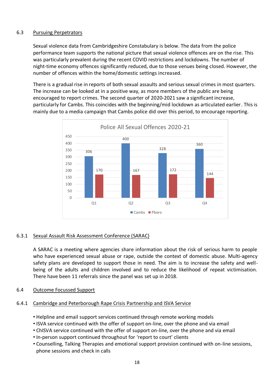# 6.3 Pursuing Perpetrators

Sexual violence data from Cambridgeshire Constabulary is below. The data from the police performance team supports the national picture that sexual violence offences are on the rise. This was particularly prevalent during the recent COVID restrictions and lockdowns. The number of night-time economy offences significantly reduced, due to those venues being closed. However, the number of offences within the home/domestic settings increased.

There is a gradual rise in reports of both sexual assaults and serious sexual crimes in most quarters. The increase can be looked at in a positive way, as more members of the public are being encouraged to report crimes. The second quarter of 2020-2021 saw a significant increase, particularly for Cambs. This coincides with the beginning/mid lockdown as articulated earlier. This is mainly due to a media campaign that Cambs police did over this period, to encourage reporting.



# 6.3.1 Sexual Assault Risk Assessment Conference (SARAC)

A SARAC is a meeting where agencies share information about the risk of serious harm to people who have experienced sexual abuse or rape, outside the context of domestic abuse. Multi-agency safety plans are developed to support those in need. The aim is to increase the safety and wellbeing of the adults and children involved and to reduce the likelihood of repeat victimisation. There have been 11 referrals since the panel was set up in 2018.

6.4 Outcome Focussed Support

#### 6.4.1 Cambridge and Peterborough Rape Crisis Partnership and ISVA Service

- Helpline and email support services continued through remote working models
- ISVA service continued with the offer of support on-line, over the phone and via email
- ChISVA service continued with the offer of support on-line, over the phone and via email
- In-person support continued throughout for 'report to court' clients
- Counselling, Talking Therapies and emotional support provision continued with on-line sessions, phone sessions and check in calls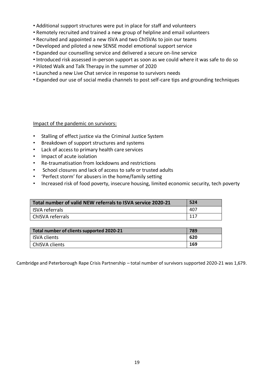- Additional support structures were put in place for staff and volunteers
- Remotely recruited and trained a new group of helpline and email volunteers
- Recruited and appointed a new ISVA and two ChISVAs to join our teams
- Developed and piloted a new SENSE model emotional support service
- Expanded our counselling service and delivered a secure on-line service
- Introduced risk assessed in-person support as soon as we could where it was safe to do so
- Piloted Walk and Talk Therapy in the summer of 2020
- Launched a new Live Chat service in response to survivors needs
- Expanded our use of social media channels to post self-care tips and grounding techniques

#### Impact of the pandemic on survivors:

- Stalling of effect justice via the Criminal Justice System
- Breakdown of support structures and systems
- Lack of access to primary health care services
- Impact of acute isolation
- Re-traumatisation from lockdowns and restrictions
- School closures and lack of access to safe or trusted adults
- 'Perfect storm' for abusers in the home/family setting
- Increased risk of food poverty, insecure housing, limited economic security, tech poverty

| Total number of valid NEW referrals to ISVA service 2020-21 | 524  |
|-------------------------------------------------------------|------|
| <b>ISVA referrals</b>                                       | -407 |
| ChISVA referrals                                            | 117  |

| Total number of clients supported 2020-21 | 789 |
|-------------------------------------------|-----|
| <b>ISVA clients</b>                       | 620 |
| ChISVA clients                            | 169 |

Cambridge and Peterborough Rape Crisis Partnership – total number of survivors supported 2020-21 was 1,679.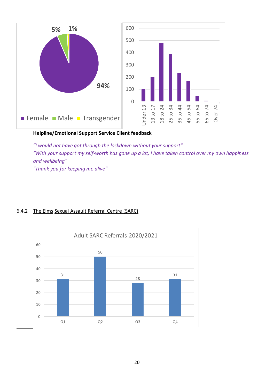

# **Helpline/Emotional Support Service Client feedback**

*"I would not have got through the lockdown without your support" "With your support my self-worth has gone up a lot, I have taken control over my own happiness and wellbeing" "Thank you for keeping me alive"*



# 6.4.2 The Elms Sexual Assault Referral Centre (SARC)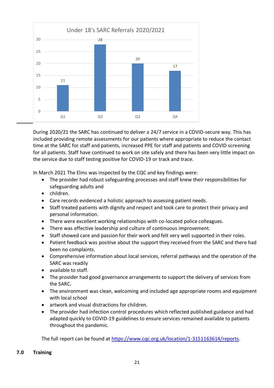

During 2020/21 the SARC has continued to deliver a 24/7 service in a COVID-secure way. This has included providing remote assessments for our patients where appropriate to reduce the contact time at the SARC for staff and patients, increased PPE for staff and patients and COVID screening for all patients. Staff have continued to work on site safely and there has been very little impact on the service due to staff testing positive for COVID-19 or track and trace.

In March 2021 The Elms was inspected by the CQC and key findings were:

- The provider had robust safeguarding processes and staff knew their responsibilities for safeguarding adults and
- children.
- Care records evidenced a holistic approach to assessing patient needs.
- Staff treated patients with dignity and respect and took care to protect their privacy and personal information.
- There were excellent working relationships with co-located police colleagues.
- There was effective leadership and culture of continuous improvement.
- Staff showed care and passion for their work and felt very well supported in their roles.
- Patient feedback was positive about the support they received from the SARC and there had been no complaints.
- Comprehensive information about local services, referral pathways and the operation of the SARC was readily
- available to staff.
- The provider had good governance arrangements to support the delivery of services from the SARC.
- The environment was clean, welcoming and included age appropriate rooms and equipment with local school
- artwork and visual distractions for children.
- The provider had infection control procedures which reflected published guidance and had adapted quickly to COVID-19 guidelines to ensure services remained available to patients throughout the pandemic.

The full report can be found a[t https://www.cqc.org.uk/location/1-3151163614/reports.](https://gbr01.safelinks.protection.outlook.com/?url=https%3A%2F%2Fwww.cqc.org.uk%2Flocation%2F1-3151163614%2Freports&data=04%7C01%7CLynsey.Dorrington%40cambs.police.uk%7C513ebcedab8f49c26ac008d942c19a88%7Ca3c59d1bb8f142999d6a39ad8f570422%7C0%7C0%7C637614221546211301%7CUnknown%7CTWFpbGZsb3d8eyJWIjoiMC4wLjAwMDAiLCJQIjoiV2luMzIiLCJBTiI6Ik1haWwiLCJXVCI6Mn0%3D%7C1000&sdata=eBhU%2FkWUj7ZOSHOKoUHRmyeV0HK3ZwgKtl6UWRjGFVo%3D&reserved=0)

# **7.0 Training**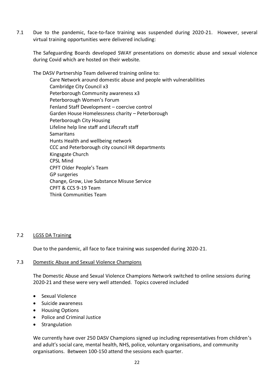7.1 Due to the pandemic, face-to-face training was suspended during 2020-21. However, several virtual training opportunities were delivered including:

The Safeguarding Boards developed SWAY presentations on domestic abuse and sexual violence during Covid which are hosted on their website.

The DASV Partnership Team delivered training online to: Care Network around domestic abuse and people with vulnerabilities Cambridge City Council x3 Peterborough Community awareness x3 Peterborough Women's Forum Fenland Staff Development – coercive control Garden House Homelessness charity – Peterborough Peterborough City Housing Lifeline help line staff and Lifecraft staff **Samaritans** Hunts Health and wellbeing network CCC and Peterborough city council HR departments Kingsgate Church CPSL Mind CPFT Older People's Team GP surgeries Change, Grow, Live Substance Misuse Service CPFT & CCS 9-19 Team Think Communities Team

#### 7.2 LGSS DA Training

Due to the pandemic, all face to face training was suspended during 2020-21.

#### 7.3 Domestic Abuse and Sexual Violence Champions

The Domestic Abuse and Sexual Violence Champions Network switched to online sessions during 2020-21 and these were very well attended. Topics covered included

- Sexual Violence
- Suicide awareness
- **•** Housing Options
- Police and Criminal Justice
- Strangulation

We currently have over 250 DASV Champions signed up including representatives from children's and adult's social care, mental health, NHS, police, voluntary organisations, and community organisations. Between 100-150 attend the sessions each quarter.